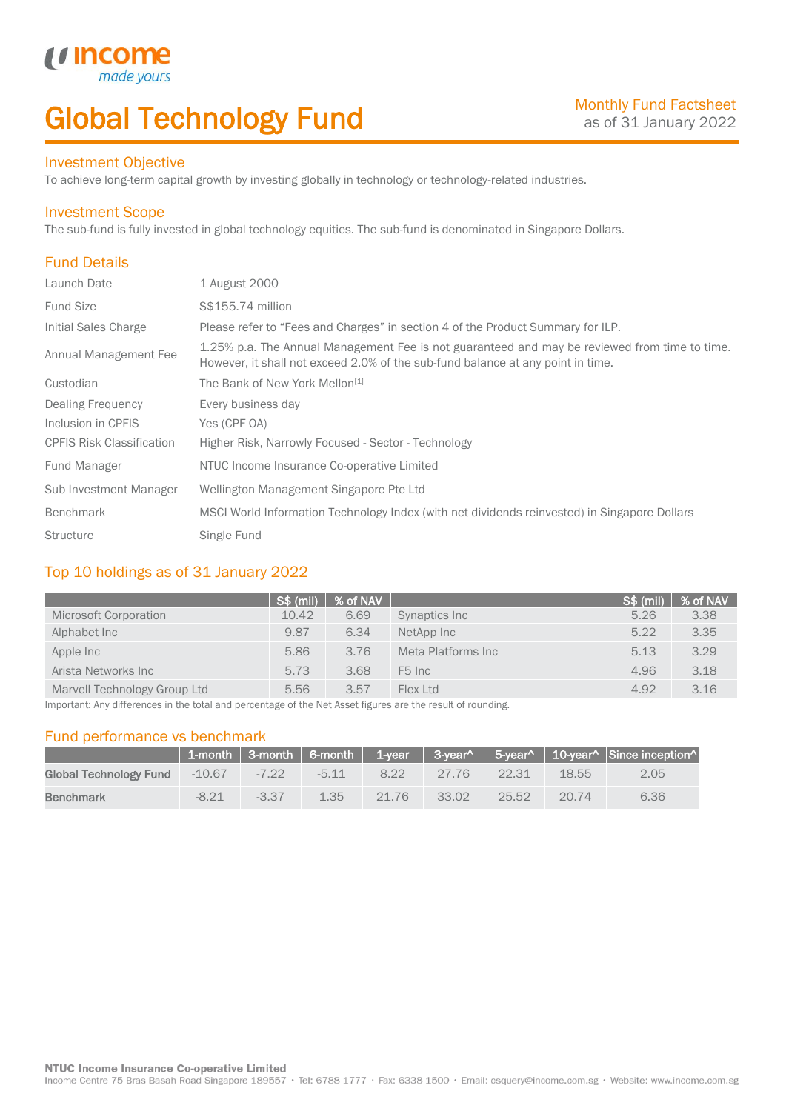# Global Technology Fund

## Investment Objective

made

*u* incom

To achieve long-term capital growth by investing globally in technology or technology-related industries.

### Investment Scope

The sub-fund is fully invested in global technology equities. The sub-fund is denominated in Singapore Dollars.

# Fund Details

I

| Launch Date                      | 1 August 2000                                                                                                                                                                    |
|----------------------------------|----------------------------------------------------------------------------------------------------------------------------------------------------------------------------------|
| <b>Fund Size</b>                 | S\$155.74 million                                                                                                                                                                |
| Initial Sales Charge             | Please refer to "Fees and Charges" in section 4 of the Product Summary for ILP.                                                                                                  |
| Annual Management Fee            | 1.25% p.a. The Annual Management Fee is not guaranteed and may be reviewed from time to time.<br>However, it shall not exceed 2.0% of the sub-fund balance at any point in time. |
| Custodian                        | The Bank of New York Mellon <sup>[1]</sup>                                                                                                                                       |
| <b>Dealing Frequency</b>         | Every business day                                                                                                                                                               |
| Inclusion in CPFIS               | Yes (CPF OA)                                                                                                                                                                     |
| <b>CPFIS Risk Classification</b> | Higher Risk, Narrowly Focused - Sector - Technology                                                                                                                              |
| <b>Fund Manager</b>              | NTUC Income Insurance Co-operative Limited                                                                                                                                       |
| Sub Investment Manager           | Wellington Management Singapore Pte Ltd                                                                                                                                          |
| <b>Benchmark</b>                 | MSCI World Information Technology Index (with net dividends reinvested) in Singapore Dollars                                                                                     |
| <b>Structure</b>                 | Single Fund                                                                                                                                                                      |

## Top 10 holdings as of 31 January 2022

|                              | S\$ (mil) | % of NAV |                    | S\$ (mil) | % of NAV |
|------------------------------|-----------|----------|--------------------|-----------|----------|
| Microsoft Corporation        | 10.42     | 6.69     | Synaptics Inc.     | 5.26      | 3.38     |
| Alphabet Inc                 | 9.87      | 6.34     | NetApp Inc         | 5.22      | 3.35     |
| Apple Inc                    | 5.86      | 3.76     | Meta Platforms Inc | 5.13      | 3.29     |
| Arista Networks Inc          | 5.73      | 3.68     | F <sub>5</sub> Inc | 4.96      | 3.18     |
| Marvell Technology Group Ltd | 5.56      | 3.57     | Flex Ltd           | 4.92      | 3.16     |

Important: Any differences in the total and percentage of the Net Asset figures are the result of rounding.

### Fund performance vs benchmark

|                        |         |         |         |       |          |          |       | 1-month   3-month   6-month   1-year   3-year^   5-year^   10-year^   Since inception^ |
|------------------------|---------|---------|---------|-------|----------|----------|-------|----------------------------------------------------------------------------------------|
| Global Technology Fund | -10.67  | $-7.22$ | $-5.11$ | 8.22  | 27.76    | $-22.31$ | 18.55 | 2.05                                                                                   |
| <b>Benchmark</b>       | $-8.21$ | $-3.37$ | 1.35    | 21.76 | $-33.02$ | 25.52    | 20.74 | 6.36                                                                                   |